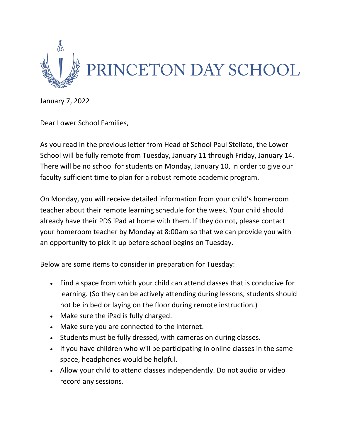

January 7, 2022

Dear Lower School Families,

As you read in the previous letter from Head of School Paul Stellato, the Lower School will be fully remote from Tuesday, January 11 through Friday, January 14. There will be no school for students on Monday, January 10, in order to give our faculty sufficient time to plan for a robust remote academic program.

On Monday, you will receive detailed information from your child's homeroom teacher about their remote learning schedule for the week. Your child should already have their PDS iPad at home with them. If they do not, please contact your homeroom teacher by Monday at 8:00am so that we can provide you with an opportunity to pick it up before school begins on Tuesday.

Below are some items to consider in preparation for Tuesday:

- Find a space from which your child can attend classes that is conducive for learning. (So they can be actively attending during lessons, students should not be in bed or laying on the floor during remote instruction.)
- Make sure the iPad is fully charged.
- Make sure you are connected to the internet.
- Students must be fully dressed, with cameras on during classes.
- If you have children who will be participating in online classes in the same space, headphones would be helpful.
- Allow your child to attend classes independently. Do not audio or video record any sessions.